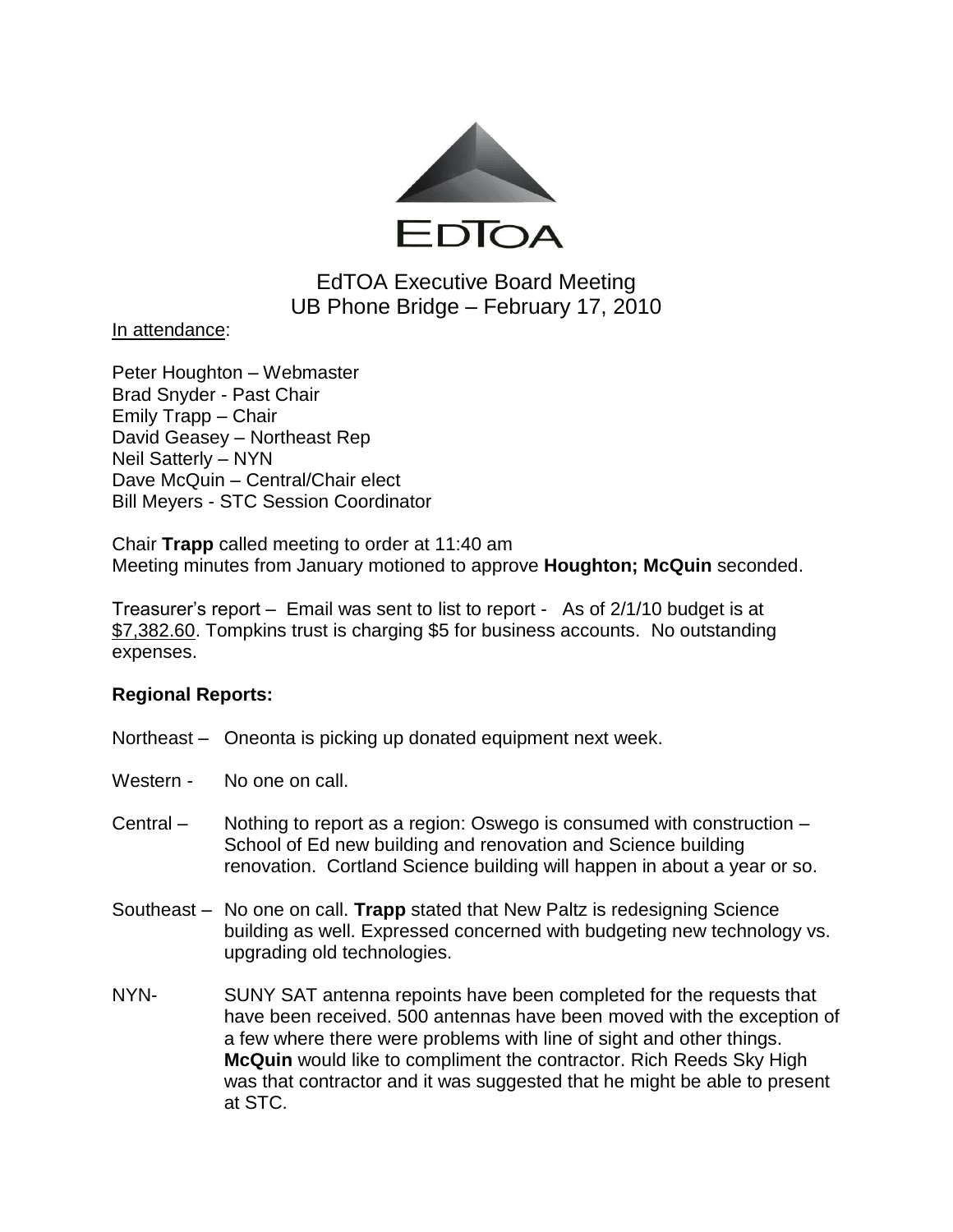

# EdTOA Executive Board Meeting UB Phone Bridge – February 17, 2010

### In attendance:

Peter Houghton – Webmaster Brad Snyder - Past Chair Emily Trapp – Chair David Geasey – Northeast Rep Neil Satterly – NYN Dave McQuin – Central/Chair elect Bill Meyers - STC Session Coordinator

Chair **Trapp** called meeting to order at 11:40 am Meeting minutes from January motioned to approve **Houghton; McQuin** seconded.

Treasurer's report – Email was sent to list to report - As of 2/1/10 budget is at \$7,382.60. Tompkins trust is charging \$5 for business accounts. No outstanding expenses.

### **Regional Reports:**

- Northeast Oneonta is picking up donated equipment next week.
- Western No one on call.
- Central Nothing to report as a region: Oswego is consumed with construction School of Ed new building and renovation and Science building renovation. Cortland Science building will happen in about a year or so.
- Southeast No one on call. **Trapp** stated that New Paltz is redesigning Science building as well. Expressed concerned with budgeting new technology vs. upgrading old technologies.
- NYN- SUNY SAT antenna repoints have been completed for the requests that have been received. 500 antennas have been moved with the exception of a few where there were problems with line of sight and other things. **McQuin** would like to compliment the contractor. Rich Reeds Sky High was that contractor and it was suggested that he might be able to present at STC.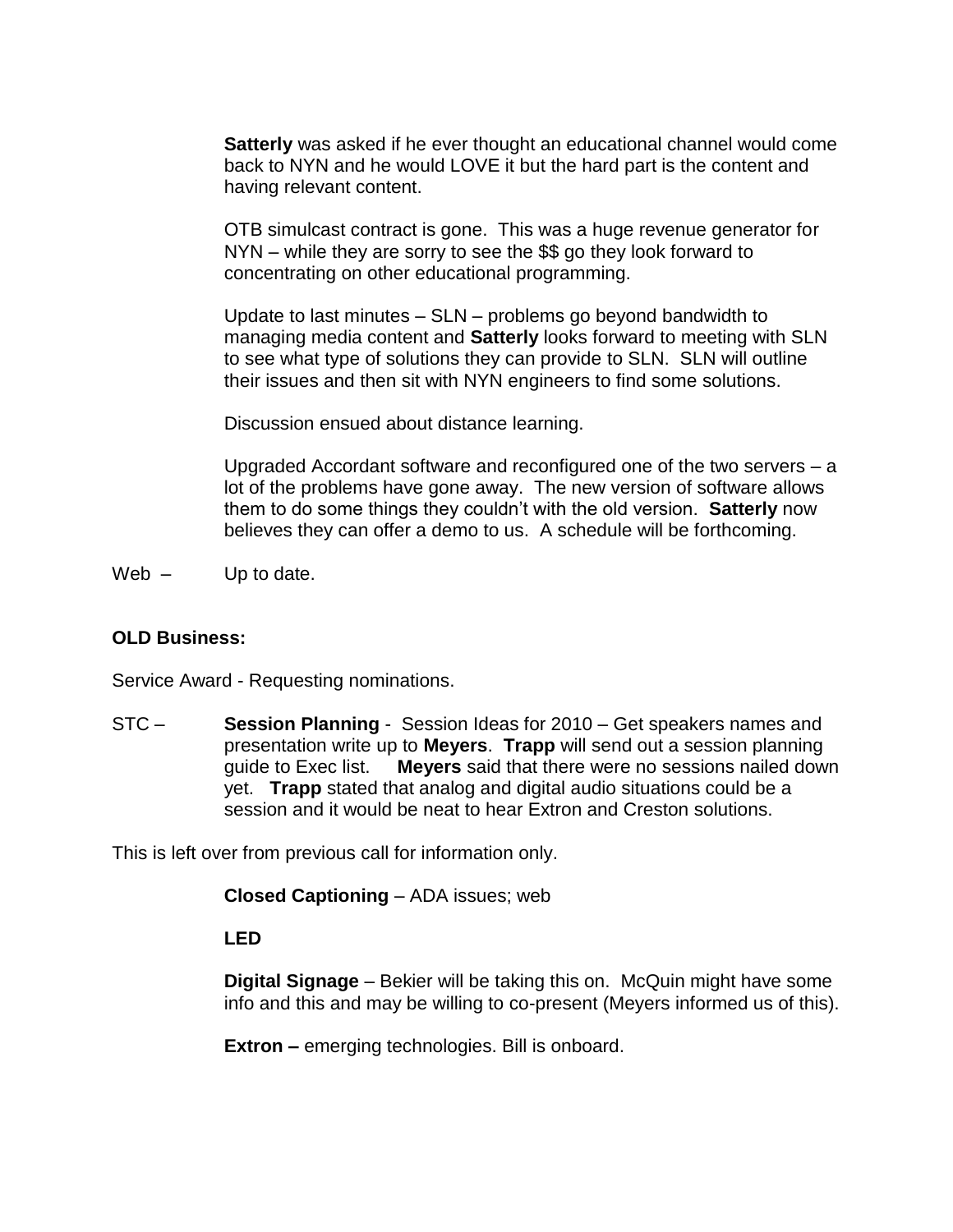**Satterly** was asked if he ever thought an educational channel would come back to NYN and he would LOVE it but the hard part is the content and having relevant content.

OTB simulcast contract is gone. This was a huge revenue generator for NYN – while they are sorry to see the \$\$ go they look forward to concentrating on other educational programming.

Update to last minutes – SLN – problems go beyond bandwidth to managing media content and **Satterly** looks forward to meeting with SLN to see what type of solutions they can provide to SLN. SLN will outline their issues and then sit with NYN engineers to find some solutions.

Discussion ensued about distance learning.

Upgraded Accordant software and reconfigured one of the two servers – a lot of the problems have gone away. The new version of software allows them to do some things they couldn't with the old version. **Satterly** now believes they can offer a demo to us. A schedule will be forthcoming.

Web  $-$  Up to date.

### **OLD Business:**

Service Award - Requesting nominations.

STC – **Session Planning** - Session Ideas for 2010 – Get speakers names and presentation write up to **Meyers**. **Trapp** will send out a session planning guide to Exec list. **Meyers** said that there were no sessions nailed down yet. **Trapp** stated that analog and digital audio situations could be a session and it would be neat to hear Extron and Creston solutions.

This is left over from previous call for information only.

**Closed Captioning** – ADA issues; web

**LED** 

**Digital Signage** – Bekier will be taking this on. McQuin might have some info and this and may be willing to co-present (Meyers informed us of this).

**Extron –** emerging technologies. Bill is onboard.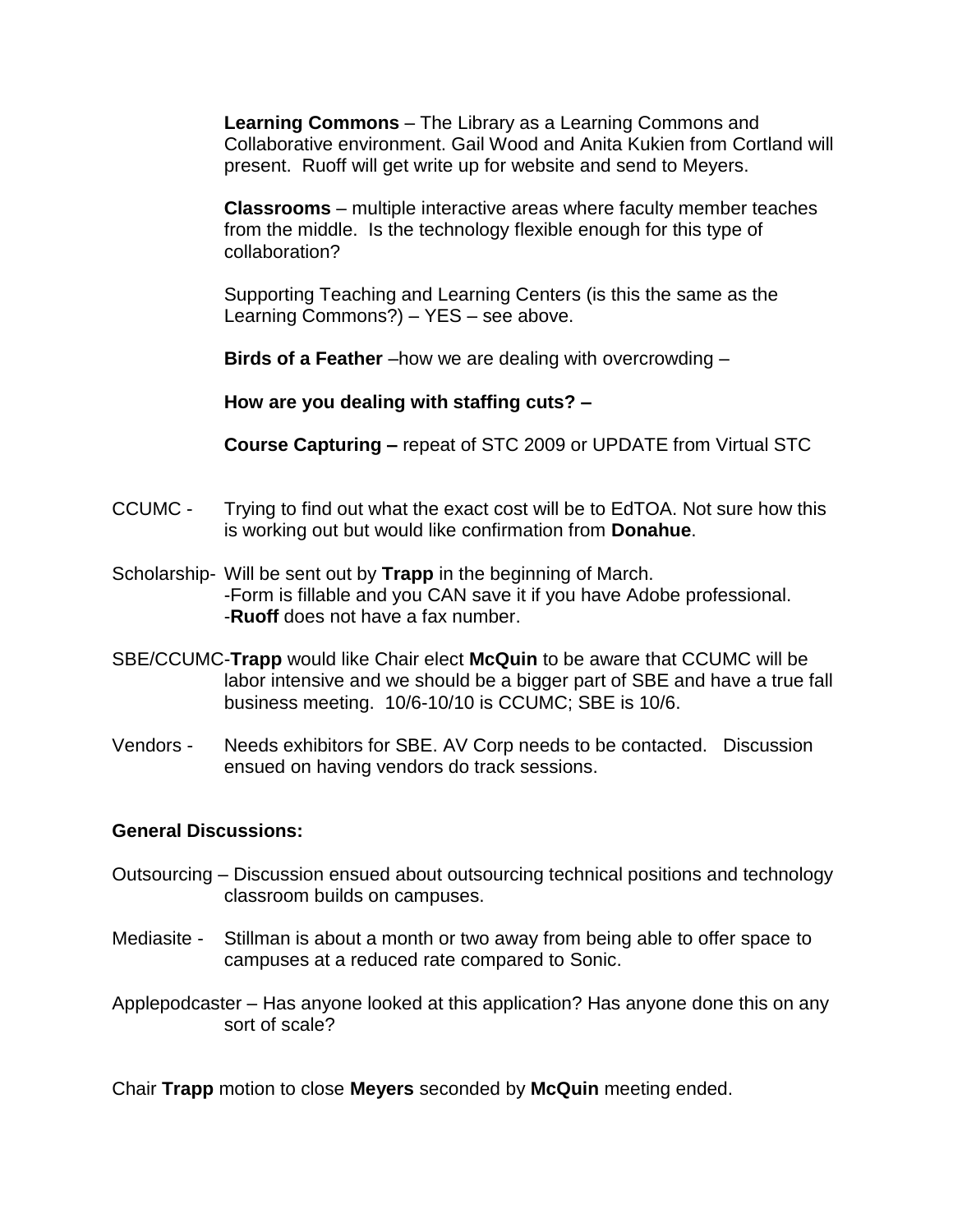**Learning Commons** – The Library as a Learning Commons and Collaborative environment. Gail Wood and Anita Kukien from Cortland will present. Ruoff will get write up for website and send to Meyers.

**Classrooms** – multiple interactive areas where faculty member teaches from the middle. Is the technology flexible enough for this type of collaboration?

Supporting Teaching and Learning Centers (is this the same as the Learning Commons?) – YES – see above.

**Birds of a Feather** –how we are dealing with overcrowding –

**How are you dealing with staffing cuts? –**

**Course Capturing –** repeat of STC 2009 or UPDATE from Virtual STC

- CCUMC Trying to find out what the exact cost will be to EdTOA. Not sure how this is working out but would like confirmation from **Donahue**.
- Scholarship- Will be sent out by **Trapp** in the beginning of March. -Form is fillable and you CAN save it if you have Adobe professional. -**Ruoff** does not have a fax number.
- SBE/CCUMC-**Trapp** would like Chair elect **McQuin** to be aware that CCUMC will be labor intensive and we should be a bigger part of SBE and have a true fall business meeting. 10/6-10/10 is CCUMC; SBE is 10/6.
- Vendors Needs exhibitors for SBE. AV Corp needs to be contacted. Discussion ensued on having vendors do track sessions.

### **General Discussions:**

- Outsourcing Discussion ensued about outsourcing technical positions and technology classroom builds on campuses.
- Mediasite Stillman is about a month or two away from being able to offer space to campuses at a reduced rate compared to Sonic.
- Applepodcaster Has anyone looked at this application? Has anyone done this on any sort of scale?

Chair **Trapp** motion to close **Meyers** seconded by **McQuin** meeting ended.